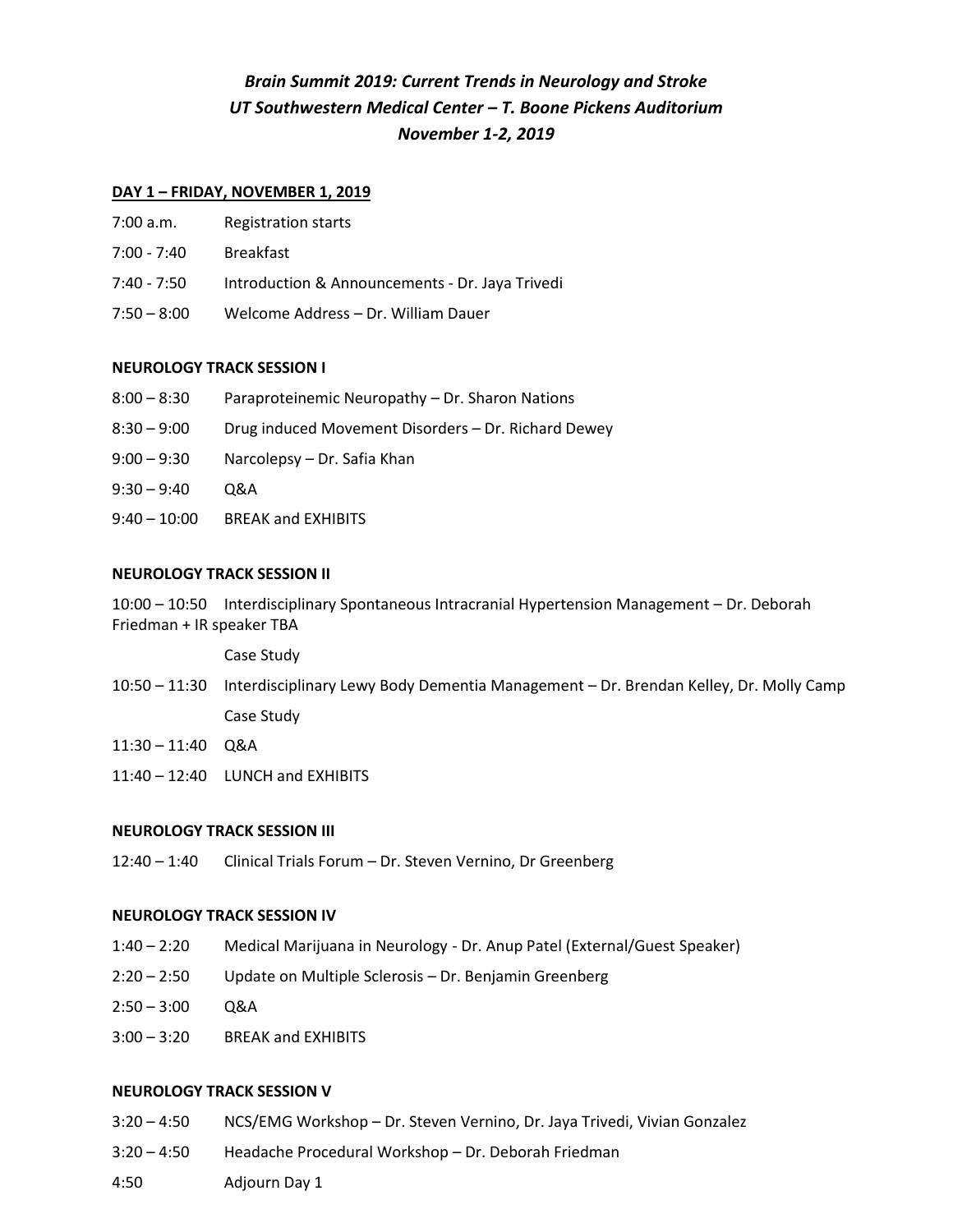# *Brain Summit 2019: Current Trends in Neurology and Stroke UT Southwestern Medical Center – T. Boone Pickens Auditorium November 1-2, 2019*

## **DAY 1 – FRIDAY, NOVEMBER 1, 2019**

- 7:00 a.m. Registration starts
- 7:00 7:40 Breakfast
- 7:40 7:50 Introduction & Announcements Dr. Jaya Trivedi
- 7:50 8:00 Welcome Address Dr. William Dauer

## **NEUROLOGY TRACK SESSION I**

- 8:00 8:30 Paraproteinemic Neuropathy Dr. Sharon Nations
- 8:30 9:00 Drug induced Movement Disorders Dr. Richard Dewey
- 9:00 9:30 Narcolepsy Dr. Safia Khan
- 9:30 9:40 Q&A
- 9:40 10:00 BREAK and EXHIBITS

## **NEUROLOGY TRACK SESSION II**

10:00 – 10:50 Interdisciplinary Spontaneous Intracranial Hypertension Management – Dr. Deborah Friedman + IR speaker TBA

Case Study

- 10:50 11:30 Interdisciplinary Lewy Body Dementia Management Dr. Brendan Kelley, Dr. Molly Camp Case Study
- 11:30 11:40 Q&A
- 11:40 12:40 LUNCH and EXHIBITS

## **NEUROLOGY TRACK SESSION III**

12:40 – 1:40 Clinical Trials Forum – Dr. Steven Vernino, Dr Greenberg

## **NEUROLOGY TRACK SESSION IV**

- 1:40 2:20 Medical Marijuana in Neurology Dr. Anup Patel (External/Guest Speaker)
- 2:20 2:50 Update on Multiple Sclerosis Dr. Benjamin Greenberg
- $2:50 3:00$  Q&A
- 3:00 3:20 BREAK and EXHIBITS

## **NEUROLOGY TRACK SESSION V**

- 3:20 4:50 NCS/EMG Workshop Dr. Steven Vernino, Dr. Jaya Trivedi, Vivian Gonzalez
- 3:20 4:50 Headache Procedural Workshop Dr. Deborah Friedman
- 4:50 Adjourn Day 1